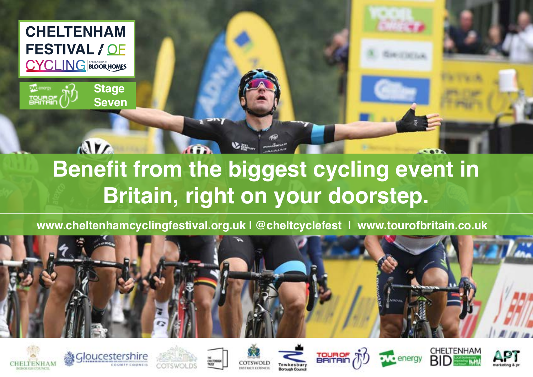

The energy **TOURSE**  **Stage Seven**



 **www.cheltenhamcyclingfestival.org.uk | @cheltcyclefest | www.tourofbritain.co.uk**

















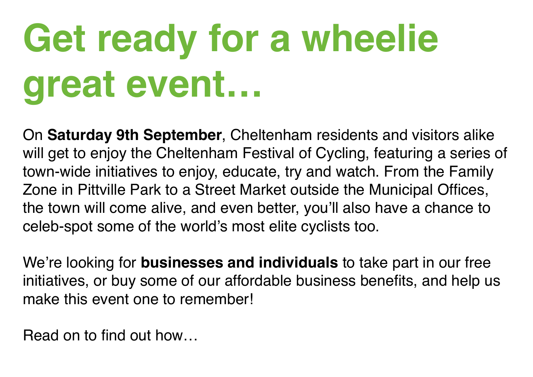# **Get ready for a wheelie great event…**

On **Saturday 9th September**, Cheltenham residents and visitors alike will get to enjoy the Cheltenham Festival of Cycling, featuring a series of town-wide initiatives to enjoy, educate, try and watch. From the Family Zone in Pittville Park to a Street Market outside the Municipal Offices, the town will come alive, and even better, you'll also have a chance to celeb-spot some of the world's most elite cyclists too.

We're looking for **businesses and individuals** to take part in our free initiatives, or buy some of our affordable business benefits, and help us make this event one to remember!

Read on to find out how…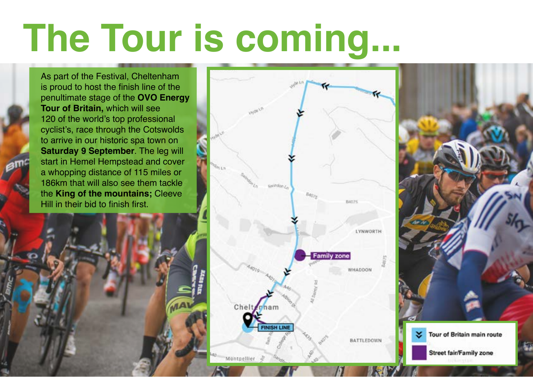# **The Tour is coming...**

As part of the Festival, Cheltenham is proud to host the finish line of the penultimate stage of the **OVO Energy Tour of Britain,** which will see 120 of the world's top professional cyclist's, race through the Cotswolds to arrive in our historic spa town on **Saturday 9 September**. The leg will start in Hemel Hempstead and cover a whopping distance of 115 miles or 186km that will also see them tackle the **King of the mountains;** Cleeve Hill in their bid to finish first.



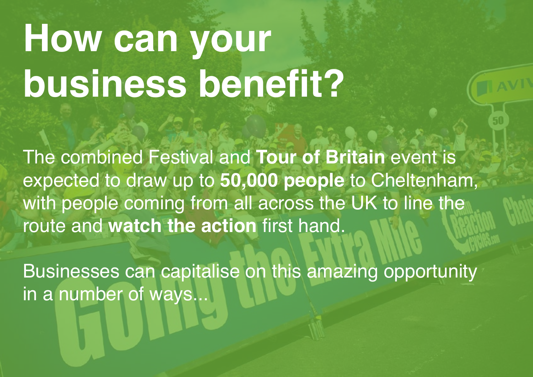# **How can your business benefit?**

The combined Festival and **Tour of Britain** event is expected to draw up to **50,000 people** to Cheltenham, with people coming from all across the UK to line the route and **watch the action** first hand.

Businesses can capitalise on this amazing opportunity in a number of ways...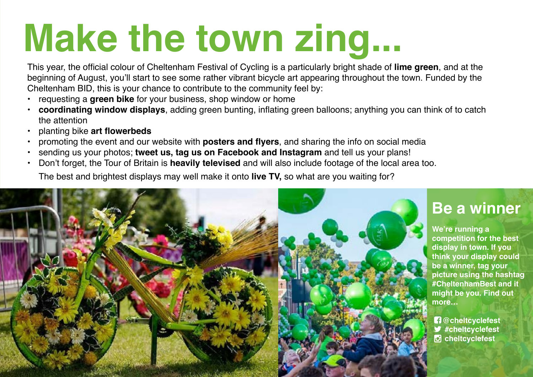# **Make the town zing...**

This year, the official colour of Cheltenham Festival of Cycling is a particularly bright shade of **lime green**, and at the beginning of August, you'll start to see some rather vibrant bicycle art appearing throughout the town. Funded by the Cheltenham BID, this is your chance to contribute to the community feel by:

- requesting a **green bike** for your business, shop window or home
- **• coordinating window displays**, adding green bunting, inflating green balloons; anything you can think of to catch the attention
- planting bike **art flowerbeds**
- promoting the event and our website with **posters and flyers**, and sharing the info on social media
- sending us your photos; **tweet us, tag us on Facebook and Instagram** and tell us your plans!
- Don't forget, the Tour of Britain is **heavily televised** and will also include footage of the local area too. The best and brightest displays may well make it onto **live TV,** so what are you waiting for?



#### **Be a winner**

**We're running a competition for the best display in town. If you think your display could be a winner, tag your picture using the hashtag #CheltenhamBest and it might be you. Find out more…**

 **@cheltcyclefest #cheltcyclefest cheltcyclefest**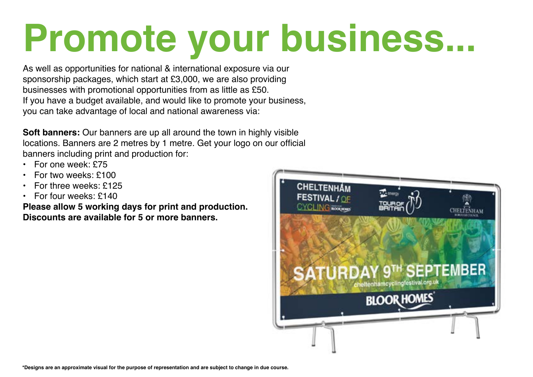# **Promote your business...**

As well as opportunities for national & international exposure via our sponsorship packages, which start at £3,000, we are also providing businesses with promotional opportunities from as little as £50. If you have a budget available, and would like to promote your business, you can take advantage of local and national awareness via:

**Soft banners:** Our banners are up all around the town in highly visible locations. Banners are 2 metres by 1 metre. Get your logo on our official banners including print and production for:

- For one week: £75
- For two weeks: £100
- For three weeks: £125
- For four weeks: £140

**Please allow 5 working days for print and production. Discounts are available for 5 or more banners.**

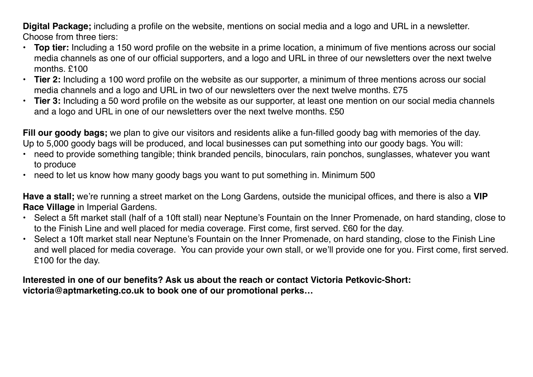**Digital Package;** including a profile on the website, mentions on social media and a logo and URL in a newsletter. Choose from three tiers:

- **• Top tier:** Including a 150 word profile on the website in a prime location, a minimum of five mentions across our social media channels as one of our official supporters, and a logo and URL in three of our newsletters over the next twelve months. £100
- **• Tier 2:** Including a 100 word profile on the website as our supporter, a minimum of three mentions across our social media channels and a logo and URL in two of our newsletters over the next twelve months. £75
- **• Tier 3:** Including a 50 word profile on the website as our supporter, at least one mention on our social media channels and a logo and URL in one of our newsletters over the next twelve months. £50

**Fill our goody bags;** we plan to give our visitors and residents alike a fun-filled goody bag with memories of the day. Up to 5,000 goody bags will be produced, and local businesses can put something into our goody bags. You will:

- need to provide something tangible; think branded pencils, binoculars, rain ponchos, sunglasses, whatever you want to produce
- need to let us know how many goody bags you want to put something in. Minimum 500

**Have a stall;** we're running a street market on the Long Gardens, outside the municipal offices, and there is also a **VIP Race Village** in Imperial Gardens.

- Select a 5ft market stall (half of a 10ft stall) near Neptune's Fountain on the Inner Promenade, on hard standing, close to to the Finish Line and well placed for media coverage. First come, first served. £60 for the day.
- Select a 10ft market stall near Neptune's Fountain on the Inner Promenade, on hard standing, close to the Finish Line and well placed for media coverage. You can provide your own stall, or we'll provide one for you. First come, first served. £100 for the day.

#### **Interested in one of our benefits? Ask us about the reach or contact Victoria Petkovic-Short: victoria@aptmarketing.co.uk to book one of our promotional perks…**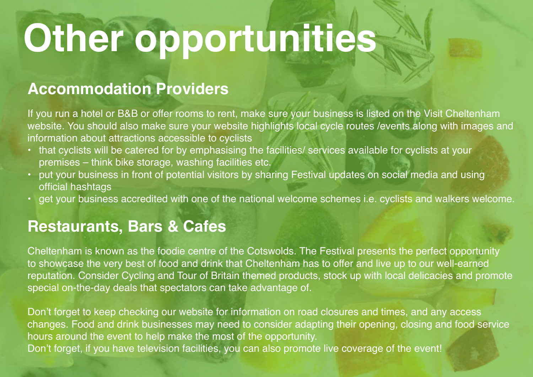# **Other opportunities**

#### **Accommodation Providers**

If you run a hotel or B&B or offer rooms to rent, make sure your business is listed on the Visit Cheltenham website. You should also make sure your website highlights local cycle routes /events along with images and information about attractions accessible to cyclists

- that cyclists will be catered for by emphasising the facilities/ services available for cyclists at your premises – think bike storage, washing facilities etc.
- put your business in front of potential visitors by sharing Festival updates on social media and using official hashtags
- get your business accredited with one of the national welcome schemes i.e. cyclists and walkers welcome.

#### **Restaurants, Bars & Cafes**

Cheltenham is known as the foodie centre of the Cotswolds. The Festival presents the perfect opportunity to showcase the very best of food and drink that Cheltenham has to offer and live up to our well-earned reputation. Consider Cycling and Tour of Britain themed products, stock up with local delicacies and promote special on-the-day deals that spectators can take advantage of.

Don't forget to keep checking our website for information on road closures and times, and any access changes. Food and drink businesses may need to consider adapting their opening, closing and food service hours around the event to help make the most of the opportunity. Don't forget, if you have television facilities, you can also promote live coverage of the event!